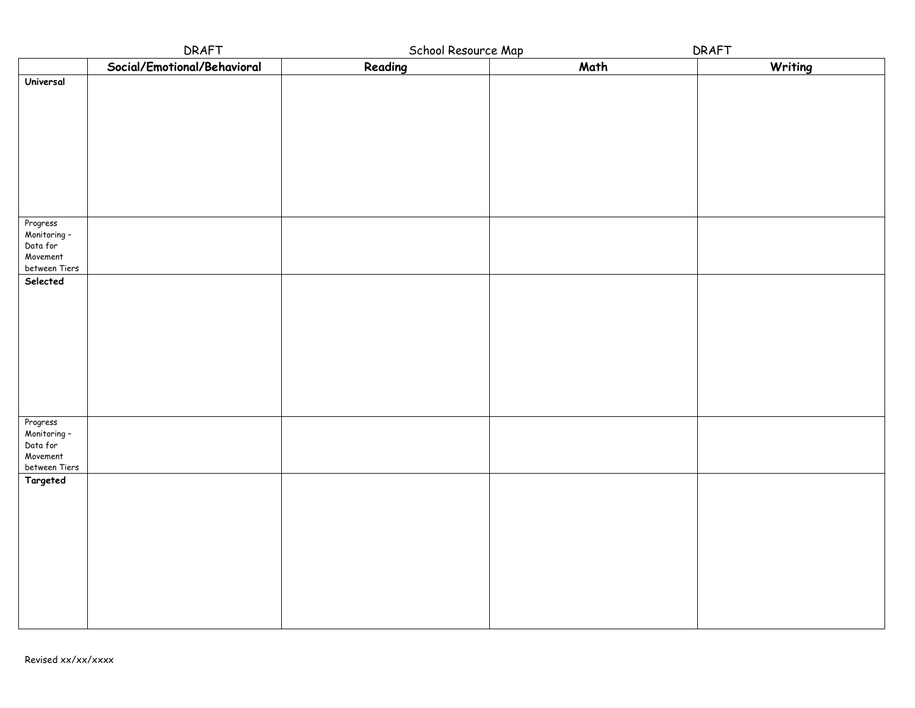|                                      | DRAFT                       | School Resource Map |      | DRAFT   |
|--------------------------------------|-----------------------------|---------------------|------|---------|
|                                      | Social/Emotional/Behavioral | Reading             | Math | Writing |
| Universal                            |                             |                     |      |         |
|                                      |                             |                     |      |         |
|                                      |                             |                     |      |         |
|                                      |                             |                     |      |         |
|                                      |                             |                     |      |         |
|                                      |                             |                     |      |         |
|                                      |                             |                     |      |         |
|                                      |                             |                     |      |         |
|                                      |                             |                     |      |         |
|                                      |                             |                     |      |         |
| Progress<br>Monitoring -<br>Data for |                             |                     |      |         |
|                                      |                             |                     |      |         |
| Movement                             |                             |                     |      |         |
| between Tiers                        |                             |                     |      |         |
| Selected                             |                             |                     |      |         |
|                                      |                             |                     |      |         |
|                                      |                             |                     |      |         |
|                                      |                             |                     |      |         |
|                                      |                             |                     |      |         |
|                                      |                             |                     |      |         |
|                                      |                             |                     |      |         |
|                                      |                             |                     |      |         |
|                                      |                             |                     |      |         |
|                                      |                             |                     |      |         |
| Progress<br>Monitoring -<br>Data for |                             |                     |      |         |
|                                      |                             |                     |      |         |
| Movement<br>between Tiers            |                             |                     |      |         |
| Targeted                             |                             |                     |      |         |
|                                      |                             |                     |      |         |
|                                      |                             |                     |      |         |
|                                      |                             |                     |      |         |
|                                      |                             |                     |      |         |
|                                      |                             |                     |      |         |
|                                      |                             |                     |      |         |
|                                      |                             |                     |      |         |
|                                      |                             |                     |      |         |
|                                      |                             |                     |      |         |
|                                      |                             |                     |      |         |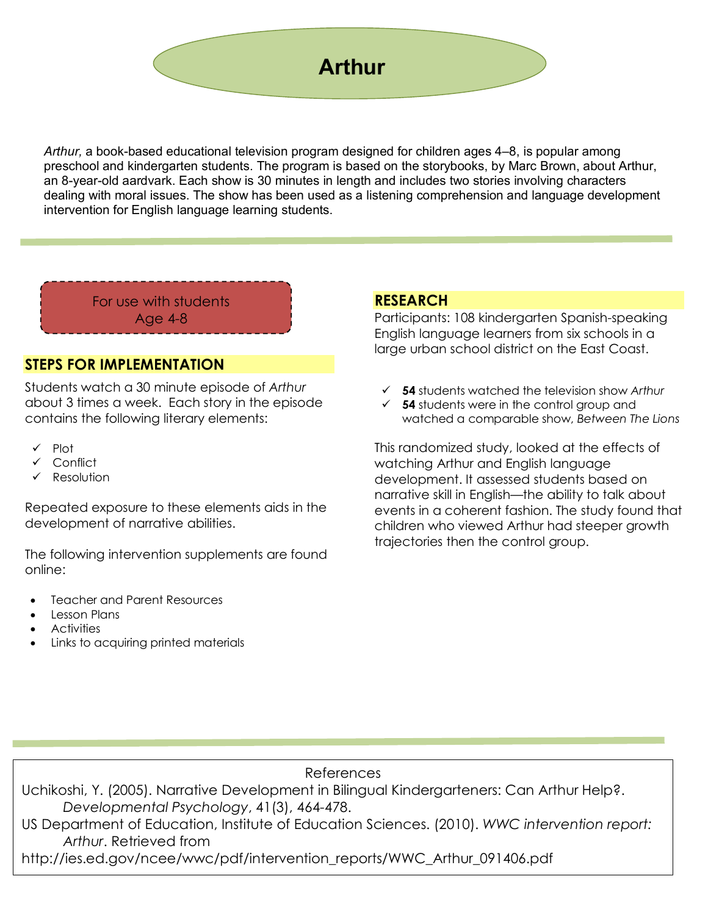

*Arthur,* a book-based educational television program designed for children ages 4–8, is popular among preschool and kindergarten students. The program is based on the storybooks, by Marc Brown, about Arthur, an 8-year-old aardvark. Each show is 30 minutes in length and includes two stories involving characters dealing with moral issues. The show has been used as a listening comprehension and language development intervention for English language learning students.

For use with students Age 4-8

#### **STEPS FOR IMPLEMENTATION**

Students watch a 30 minute episode of *Arthur* about 3 times a week. Each story in the episode contains the following literary elements:

- $\checkmark$  Plot
- Conflict
- Resolution

Repeated exposure to these elements aids in the development of narrative abilities.

The following intervention supplements are found online:

- Teacher and Parent Resources
- Lesson Plans
- Activities
- Links to acquiring printed materials

### **RESEARCH**

Participants: 108 kindergarten Spanish-speaking English language learners from six schools in a large urban school district on the East Coast.

- ü **54** students watched the television show *Arthur*
- $\checkmark$  **54** students were in the control group and watched a comparable show, *Between The Lions*

This randomized study, looked at the effects of watching Arthur and English language development. It assessed students based on narrative skill in English—the ability to talk about events in a coherent fashion. The study found that children who viewed Arthur had steeper growth trajectories then the control group.

#### References

Uchikoshi, Y. (2005). Narrative Development in Bilingual Kindergarteners: Can Arthur Help?. *Developmental Psychology*, 41(3), 464-478.

US Department of Education, Institute of Education Sciences. (2010). *WWC intervention report: Arthur*. Retrieved from

http://ies.ed.gov/ncee/wwc/pdf/intervention\_reports/WWC\_Arthur\_091406.pdf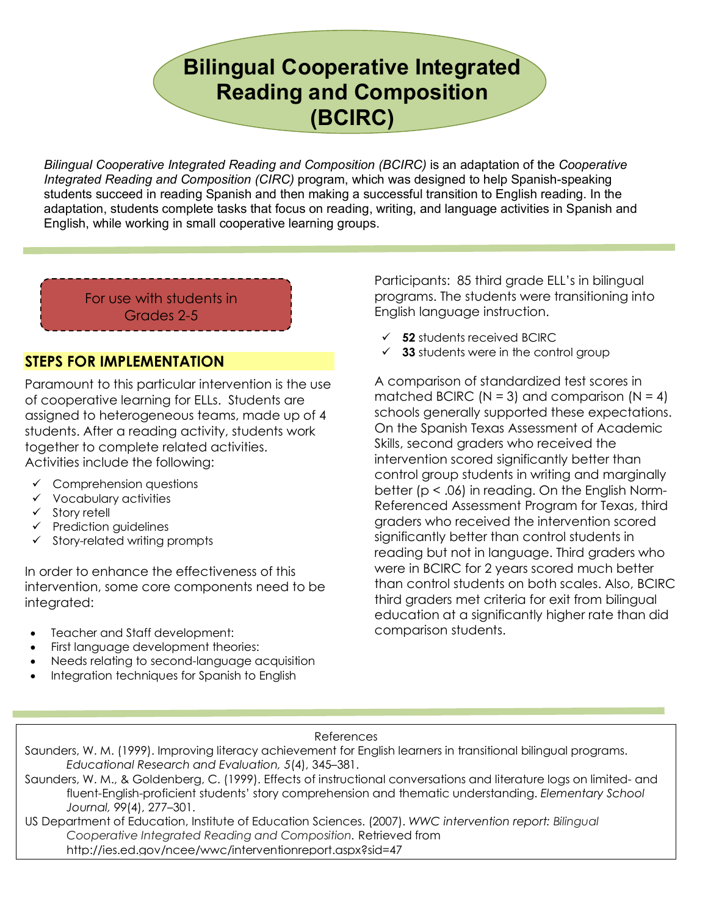# **Bilingual Cooperative Integrated Reading and Composition (BCIRC)**

*Bilingual Cooperative Integrated Reading and Composition (BCIRC)* is an adaptation of the *Cooperative Integrated Reading and Composition (CIRC)* program, which was designed to help Spanish-speaking students succeed in reading Spanish and then making a successful transition to English reading. In the adaptation, students complete tasks that focus on reading, writing, and language activities in Spanish and English, while working in small cooperative learning groups.

For use with students in Grades 2-5

### **STEPS FOR IMPLEMENTATION**

Paramount to this particular intervention is the use of cooperative learning for ELLs. Students are assigned to heterogeneous teams, made up of 4 students. After a reading activity, students work together to complete related activities. Activities include the following:

- $\checkmark$  Comprehension questions
- $\checkmark$  Vocabulary activities
- $\checkmark$  Story retell
- $\checkmark$  Prediction guidelines
- $\checkmark$  Story-related writing prompts

In order to enhance the effectiveness of this intervention, some core components need to be integrated:

- Teacher and Staff development:
- First language development theories:
- Needs relating to second-language acquisition
- Integration techniques for Spanish to English

Participants: 85 third grade ELL's in bilingual programs. The students were transitioning into English language instruction.

- $\checkmark$  52 students received BCIRC
- $\checkmark$  **33** students were in the control group

A comparison of standardized test scores in matched BCIRC ( $N = 3$ ) and comparison ( $N = 4$ ) schools generally supported these expectations. On the Spanish Texas Assessment of Academic Skills, second graders who received the intervention scored significantly better than control group students in writing and marginally better (p < .06) in reading. On the English Norm-Referenced Assessment Program for Texas, third graders who received the intervention scored significantly better than control students in reading but not in language. Third graders who were in BCIRC for 2 years scored much better than control students on both scales. Also, BCIRC third graders met criteria for exit from bilingual education at a significantly higher rate than did comparison students.

#### References

Saunders, W. M. (1999). Improving literacy achievement for English learners in transitional bilingual programs. *Educational Research and Evaluation, 5*(4), 345–381.

Saunders, W. M., & Goldenberg, C. (1999). Effects of instructional conversations and literature logs on limited- and fluent-English-proficient students' story comprehension and thematic understanding. *Elementary School Journal, 99*(4), 277–301.

**RESEARCH** *Cooperative Integrated Reading and Composition.* Retrieved from US Department of Education, Institute of Education Sciences. (2007). *WWC intervention report: Bilingual*  http://ies.ed.gov/ncee/wwc/interventionreport.aspx?sid=47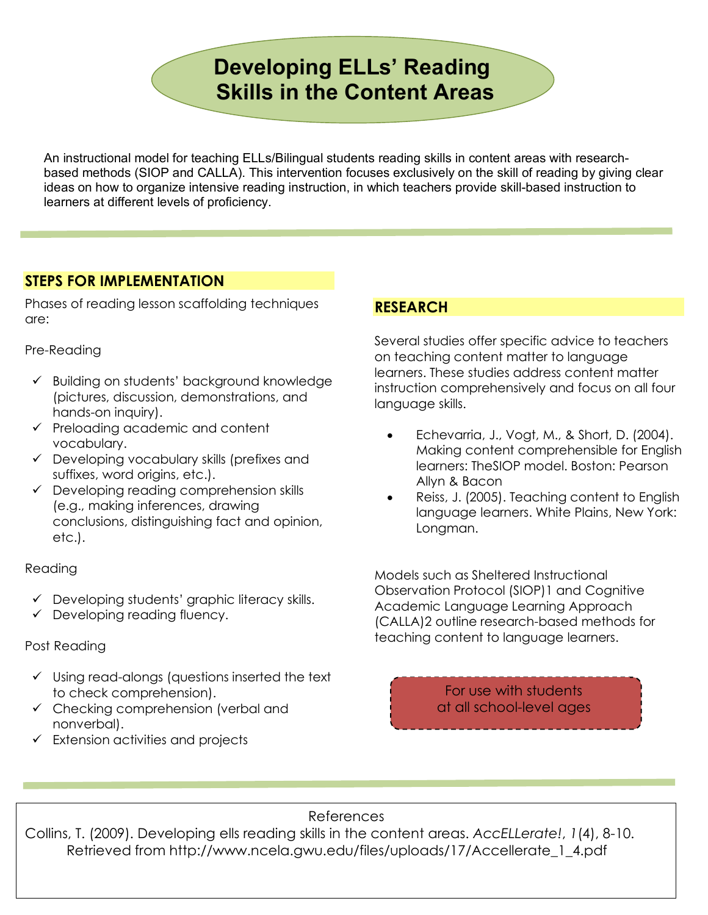# **Developing ELLs' Reading Skills in the Content Areas**

An instructional model for teaching ELLs/Bilingual students reading skills in content areas with researchbased methods (SIOP and CALLA). This intervention focuses exclusively on the skill of reading by giving clear ideas on how to organize intensive reading instruction, in which teachers provide skill-based instruction to learners at different levels of proficiency.

## **STEPS FOR IMPLEMENTATION**

Phases of reading lesson scaffolding techniques are:

#### Pre-Reading

- $\checkmark$  Building on students' background knowledge (pictures, discussion, demonstrations, and hands-on inquiry).
- $\checkmark$  Preloading academic and content vocabulary.
- $\checkmark$  Developing vocabulary skills (prefixes and suffixes, word origins, etc.).
- $\checkmark$  Developing reading comprehension skills (e.g., making inferences, drawing conclusions, distinguishing fact and opinion, etc.).

#### Reading

- $\checkmark$  Developing students' graphic literacy skills.
- $\checkmark$  Developing reading fluency.

#### Post Reading

- $\checkmark$  Using read-alongs (questions inserted the text to check comprehension).
- $\checkmark$  Checking comprehension (verbal and nonverbal).
- $\checkmark$  Extension activities and projects

# **RESEARCH**

Several studies offer specific advice to teachers on teaching content matter to language learners. These studies address content matter instruction comprehensively and focus on all four language skills.

- Echevarria, J., Vogt, M., & Short, D. (2004). Making content comprehensible for English learners: TheSIOP model. Boston: Pearson Allyn & Bacon
- Reiss, J. (2005). Teaching content to English language learners. White Plains, New York: Longman.

Models such as Sheltered Instructional Observation Protocol (SIOP)1 and Cognitive Academic Language Learning Approach (CALLA)2 outline research-based methods for teaching content to language learners.

> For use with students at all school-level ages

#### References

Collins, T. (2009). Developing ells reading skills in the content areas. *AccELLerate!*, *1*(4), 8-10. Retrieved from http://www.ncela.gwu.edu/files/uploads/17/Accellerate\_1\_4.pdf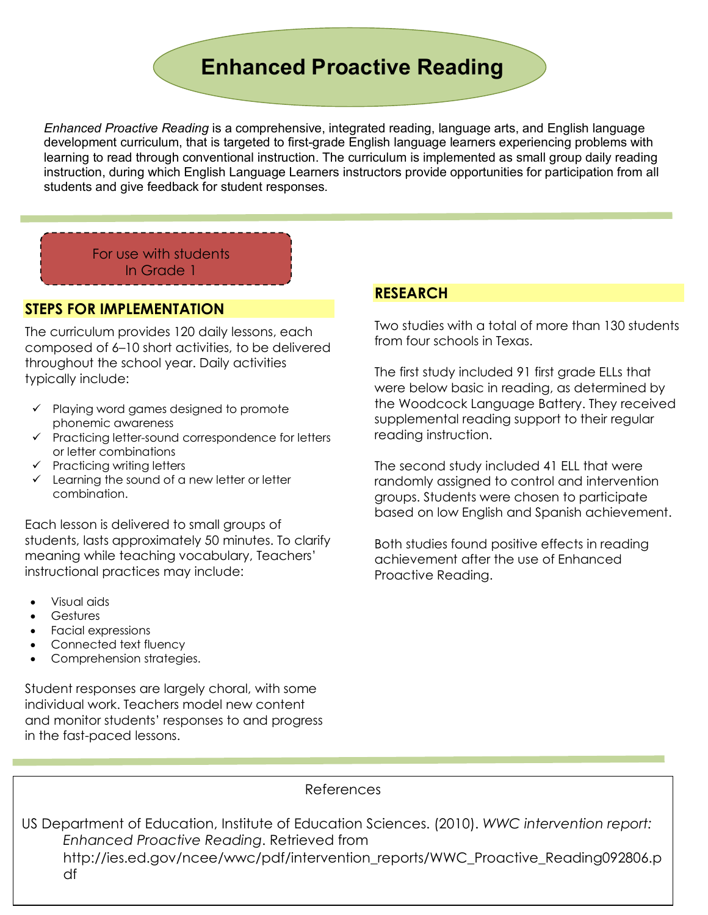# **Enhanced Proactive Reading**

*Enhanced Proactive Reading* is a comprehensive, integrated reading, language arts, and English language development curriculum, that is targeted to first-grade English language learners experiencing problems with learning to read through conventional instruction. The curriculum is implemented as small group daily reading instruction, during which English Language Learners instructors provide opportunities for participation from all students and give feedback for student responses.

For use with students In Grade 1

#### **STEPS FOR IMPLEMENTATION**

The curriculum provides 120 daily lessons, each composed of 6–10 short activities, to be delivered throughout the school year. Daily activities typically include:

- $\checkmark$  Playing word games designed to promote phonemic awareness
- $\checkmark$  Practicing letter-sound correspondence for letters or letter combinations
- $\checkmark$  Practicing writing letters
- $\checkmark$  Learning the sound of a new letter or letter combination.

Each lesson is delivered to small groups of students, lasts approximately 50 minutes. To clarify meaning while teaching vocabulary, Teachers' instructional practices may include:

- Visual aids
- **Gestures**
- Facial expressions
- Connected text fluency
- Comprehension strategies.

Student responses are largely choral, with some individual work. Teachers model new content and monitor students' responses to and progress in the fast-paced lessons.

#### **RESEARCH**

Two studies with a total of more than 130 students from four schools in Texas.

The first study included 91 first grade ELLs that were below basic in reading, as determined by the Woodcock Language Battery. They received supplemental reading support to their regular reading instruction.

The second study included 41 ELL that were randomly assigned to control and intervention groups. Students were chosen to participate based on low English and Spanish achievement.

Both studies found positive effects in reading achievement after the use of Enhanced Proactive Reading.

References

 http://ies.ed.gov/ncee/wwc/pdf/intervention\_reports/WWC\_Proactive\_Reading092806.p US Department of Education, Institute of Education Sciences. (2010). *WWC intervention report: Enhanced Proactive Reading*. Retrieved from df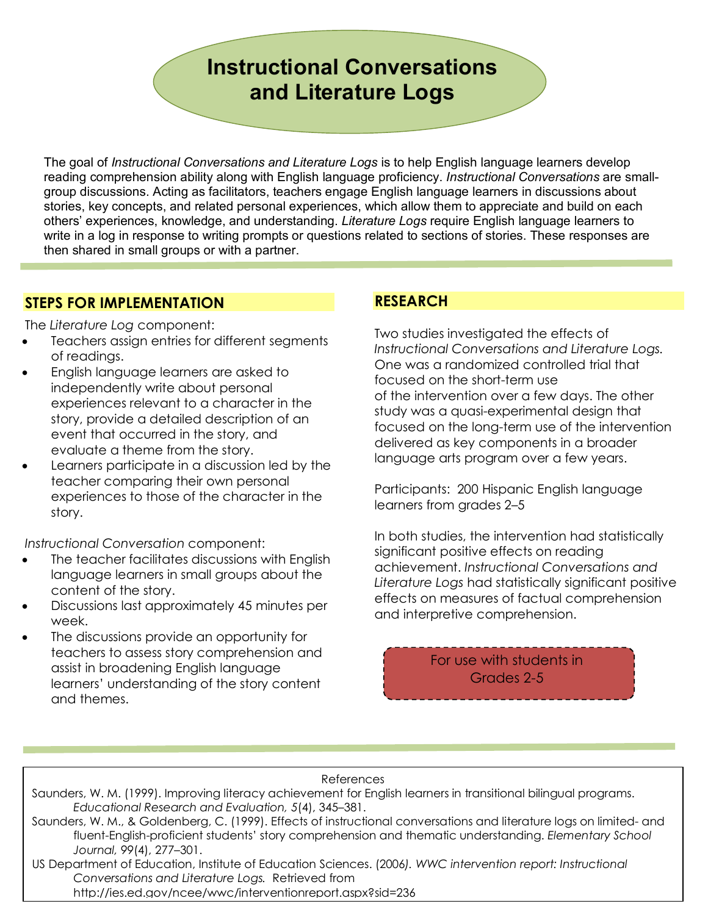# **Instructional Conversations and Literature Logs**

The goal of *Instructional Conversations and Literature Logs* is to help English language learners develop reading comprehension ability along with English language proficiency. *Instructional Conversations* are smallgroup discussions. Acting as facilitators, teachers engage English language learners in discussions about stories, key concepts, and related personal experiences, which allow them to appreciate and build on each others' experiences, knowledge, and understanding. *Literature Logs* require English language learners to write in a log in response to writing prompts or questions related to sections of stories. These responses are then shared in small groups or with a partner.

### **STEPS FOR IMPLEMENTATION**

The *Literature Log* component:

- Teachers assign entries for different segments of readings.
- English language learners are asked to independently write about personal experiences relevant to a character in the story, provide a detailed description of an event that occurred in the story, and evaluate a theme from the story.
- Learners participate in a discussion led by the teacher comparing their own personal experiences to those of the character in the story.

*Instructional Conversation* component:

- The teacher facilitates discussions with English language learners in small groups about the content of the story.
- Discussions last approximately 45 minutes per week.
- The discussions provide an opportunity for teachers to assess story comprehension and assist in broadening English language learners' understanding of the story content and themes.

## **RESEARCH**

Two studies investigated the effects of *Instructional Conversations and Literature Logs.*  One was a randomized controlled trial that focused on the short-term use of the intervention over a few days. The other study was a quasi-experimental design that focused on the long-term use of the intervention delivered as key components in a broader language arts program over a few years.

Participants: 200 Hispanic English language learners from grades 2–5

In both studies, the intervention had statistically significant positive effects on reading achievement. *Instructional Conversations and Literature Logs* had statistically significant positive effects on measures of factual comprehension and interpretive comprehension.

> For use with students in Grades 2-5

#### References

Saunders, W. M. (1999). Improving literacy achievement for English learners in transitional bilingual programs. *Educational Research and Evaluation, 5*(4), 345–381.

Saunders, W. M., & Goldenberg, C. (1999). Effects of instructional conversations and literature logs on limited- and fluent-English-proficient students' story comprehension and thematic understanding. *Elementary School Journal, 99*(4), 277–301.

 US Department of Education, Institute of Education Sciences. (2006*). WWC intervention report: Instructional Conversations and Literature Logs.* Retrieved from http://ies.ed.gov/ncee/wwc/interventionreport.aspx?sid=236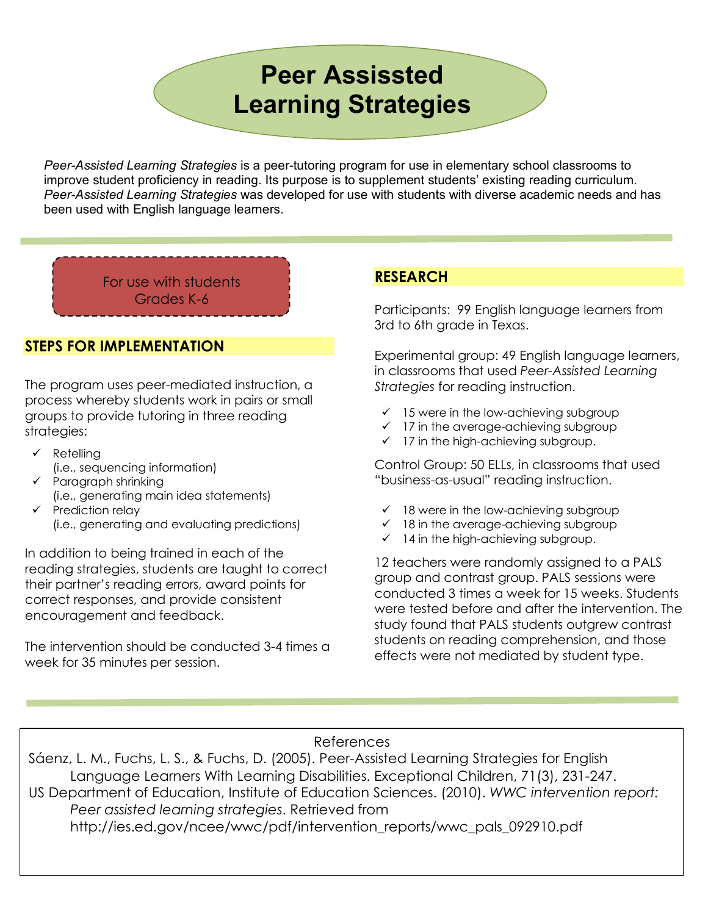# **Peer Assissted Learning Strategies**

*Peer-Assisted Learning Strategies* is a peer-tutoring program for use in elementary school classrooms to improve student proficiency in reading. Its purpose is to supplement students' existing reading curriculum. *Peer-Assisted Learning Strategies* was developed for use with students with diverse academic needs and has been used with English language learners.

For use with students Grades K-6

#### **STEPS FOR IMPLEMENTATION**

The program uses peer-mediated instruction, a process whereby students work in pairs or small groups to provide tutoring in three reading strategies:

- $\checkmark$  Retelling
	- (i.e., sequencing information)
- $\checkmark$  Paragraph shrinking (i.e., generating main idea statements)  $\checkmark$  Prediction relay
	- (i.e., generating and evaluating predictions)

In addition to being trained in each of the reading strategies, students are taught to correct their partner's reading errors, award points for correct responses, and provide consistent encouragement and feedback.

The intervention should be conducted 3-4 times a week for 35 minutes per session.

# **RESEARCH**

Participants: 99 English language learners from 3rd to 6th grade in Texas.

Experimental group: 49 English language learners, in classrooms that used *Peer-Assisted Learning Strategies* for reading instruction.

- $\checkmark$  15 were in the low-achieving subgroup
- $\checkmark$  17 in the average-achieving subgroup
- $\checkmark$  17 in the high-achieving subgroup.

Control Group: 50 ELLs, in classrooms that used "business-as-usual" reading instruction.

- $\checkmark$  18 were in the low-achieving subgroup
- $\checkmark$  18 in the average-achieving subgroup
- $\checkmark$  14 in the high-achieving subgroup.

12 teachers were randomly assigned to a PALS group and contrast group. PALS sessions were conducted 3 times a week for 15 weeks. Students were tested before and after the intervention. The study found that PALS students outgrew contrast students on reading comprehension, and those effects were not mediated by student type.

#### References

Sáenz, L. M., Fuchs, L. S., & Fuchs, D. (2005). Peer-Assisted Learning Strategies for English Language Learners With Learning Disabilities. Exceptional Children, 71(3), 231-247. US Department of Education, Institute of Education Sciences. (2010). *WWC intervention report: Peer assisted learning strategies*. Retrieved from http://ies.ed.gov/ncee/wwc/pdf/intervention\_reports/wwc\_pals\_092910.pdf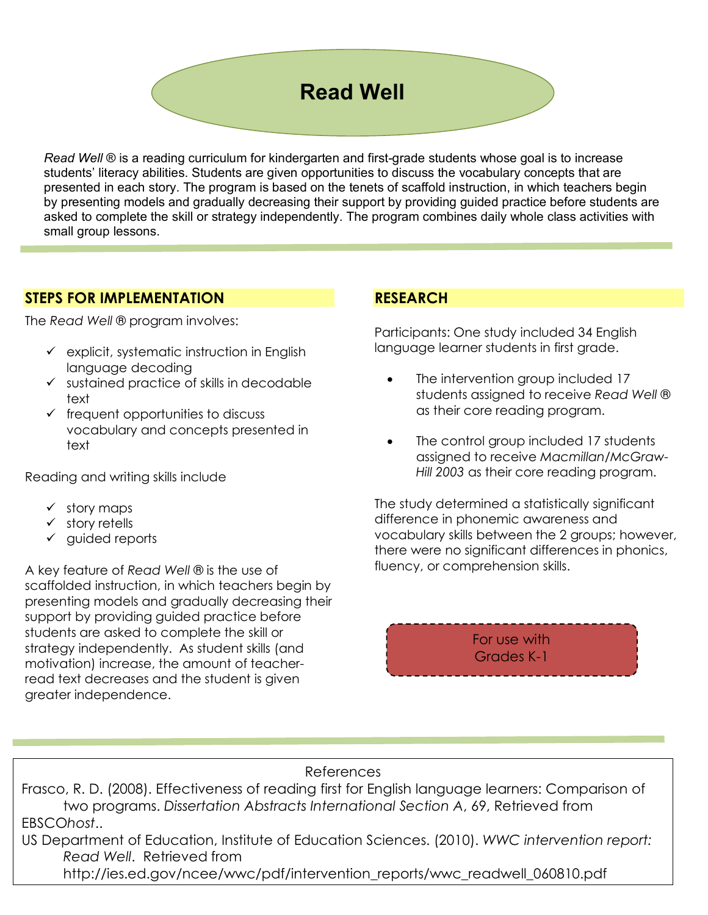# **Read Well**

*Read Well* ® is a reading curriculum for kindergarten and first-grade students whose goal is to increase students' literacy abilities. Students are given opportunities to discuss the vocabulary concepts that are presented in each story. The program is based on the tenets of scaffold instruction, in which teachers begin by presenting models and gradually decreasing their support by providing guided practice before students are asked to complete the skill or strategy independently. The program combines daily whole class activities with small group lessons.

#### **STEPS FOR IMPLEMENTATION**

The *Read Well* ® program involves:

- $\checkmark$  explicit, systematic instruction in English language decoding
- $\checkmark$  sustained practice of skills in decodable text
- $\checkmark$  frequent opportunities to discuss vocabulary and concepts presented in text

Reading and writing skills include

- $\checkmark$  story maps
- $\checkmark$  story retells
- $\checkmark$  guided reports

A key feature of *Read Well* ® is the use of scaffolded instruction, in which teachers begin by presenting models and gradually decreasing their support by providing guided practice before students are asked to complete the skill or strategy independently. As student skills (and motivation) increase, the amount of teacherread text decreases and the student is given greater independence.

### **RESEARCH**

Participants: One study included 34 English language learner students in first grade.

- The intervention group included 17 students assigned to receive *Read Well* ® as their core reading program.
- The control group included 17 students assigned to receive *Macmillan/McGraw-Hill 2003* as their core reading program.

The study determined a statistically significant difference in phonemic awareness and vocabulary skills between the 2 groups; however, there were no significant differences in phonics, fluency, or comprehension skills.

> For use with Grades K-1

#### References

Frasco, R. D. (2008). Effectiveness of reading first for English language learners: Comparison of two programs. *Dissertation Abstracts International Section A*, 69, Retrieved from EBSCO*host*..

US Department of Education, Institute of Education Sciences. (2010). *WWC intervention report: Read Well*. Retrieved from

http://ies.ed.gov/ncee/wwc/pdf/intervention\_reports/wwc\_readwell\_060810.pdf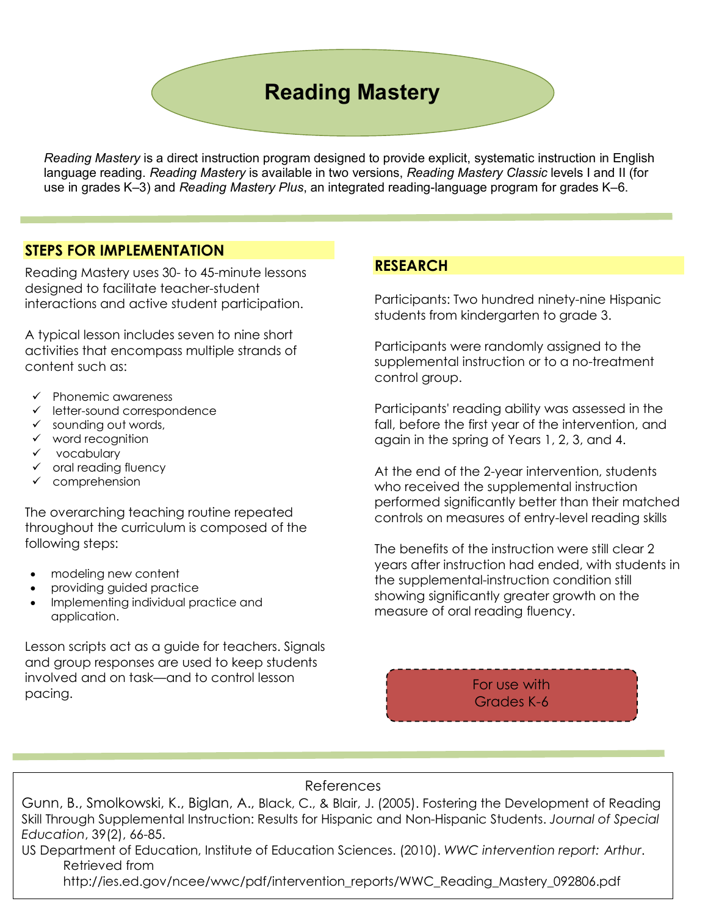# **Reading Mastery**

*Reading Mastery* is a direct instruction program designed to provide explicit, systematic instruction in English language reading. *Reading Mastery* is available in two versions, *Reading Mastery Classic* levels I and II (for use in grades K–3) and *Reading Mastery Plus*, an integrated reading-language program for grades K–6.

#### **STEPS FOR IMPLEMENTATION**

Reading Mastery uses 30- to 45-minute lessons designed to facilitate teacher-student interactions and active student participation.

A typical lesson includes seven to nine short activities that encompass multiple strands of content such as:

- $\checkmark$  Phonemic awareness
- $\checkmark$  letter-sound correspondence
- $\checkmark$  sounding out words,
- $\checkmark$  word recognition
- $\checkmark$  vocabulary
- $\checkmark$  oral reading fluency
- $\checkmark$  comprehension

The overarching teaching routine repeated throughout the curriculum is composed of the following steps:

- modeling new content
- providing guided practice
- Implementing individual practice and application.

Lesson scripts act as a guide for teachers. Signals and group responses are used to keep students involved and on task—and to control lesson pacing.

#### **RESEARCH**

Participants: Two hundred ninety-nine Hispanic students from kindergarten to grade 3.

Participants were randomly assigned to the supplemental instruction or to a no-treatment control group.

Participants' reading ability was assessed in the fall, before the first year of the intervention, and again in the spring of Years 1, 2, 3, and 4.

At the end of the 2-year intervention, students who received the supplemental instruction performed significantly better than their matched controls on measures of entry-level reading skills

The benefits of the instruction were still clear 2 years after instruction had ended, with students in the supplemental-instruction condition still showing significantly greater growth on the measure of oral reading fluency.

> For use with Grades K-6

#### References

Gunn, B., Smolkowski, K., Biglan, A., Black, C., & Blair, J. (2005). Fostering the Development of Reading Skill Through Supplemental Instruction: Results for Hispanic and Non-Hispanic Students. *Journal of Special Education*, 39(2), 66-85.

US Department of Education, Institute of Education Sciences. (2010). *WWC intervention report: Arthur*. Retrieved from

http://ies.ed.gov/ncee/wwc/pdf/intervention\_reports/WWC\_Reading\_Mastery\_092806.pdf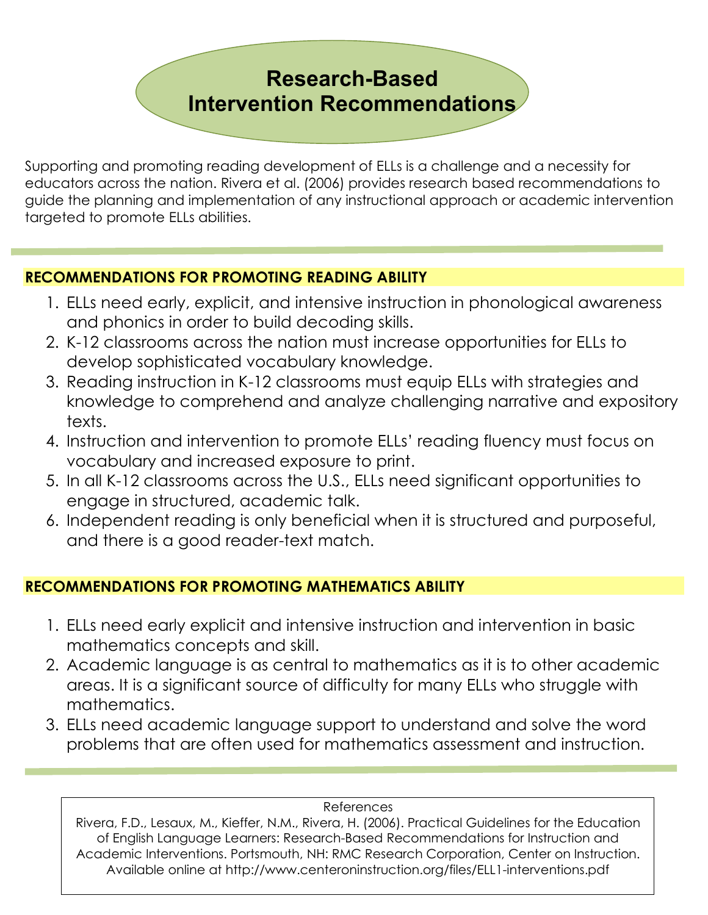# **Research-Based Intervention Recommendations**

Supporting and promoting reading development of ELLs is a challenge and a necessity for educators across the nation. Rivera et al. (2006) provides research based recommendations to guide the planning and implementation of any instructional approach or academic intervention targeted to promote ELLs abilities.

# **RECOMMENDATIONS FOR PROMOTING READING ABILITY**

- 1. ELLs need early, explicit, and intensive instruction in phonological awareness and phonics in order to build decoding skills.
- 2. K-12 classrooms across the nation must increase opportunities for ELLs to develop sophisticated vocabulary knowledge.
- 3. Reading instruction in K-12 classrooms must equip ELLs with strategies and knowledge to comprehend and analyze challenging narrative and expository texts.
- 4. Instruction and intervention to promote ELLs' reading fluency must focus on vocabulary and increased exposure to print.
- 5. In all K-12 classrooms across the U.S., ELLs need significant opportunities to engage in structured, academic talk.
- 6. Independent reading is only beneficial when it is structured and purposeful, and there is a good reader-text match.

# **RECOMMENDATIONS FOR PROMOTING MATHEMATICS ABILITY**

- 1. ELLs need early explicit and intensive instruction and intervention in basic mathematics concepts and skill.
- 2. Academic language is as central to mathematics as it is to other academic areas. It is a significant source of difficulty for many ELLs who struggle with mathematics.
- 3. ELLs need academic language support to understand and solve the word problems that are often used for mathematics assessment and instruction.

#### References

 Available online at http://www.centeroninstruction.org/files/ELL1-interventions.pdfRivera, F.D., Lesaux, M., Kieffer, N.M., Rivera, H. (2006). Practical Guidelines for the Education of English Language Learners: Research-Based Recommendations for Instruction and Academic Interventions. Portsmouth, NH: RMC Research Corporation, Center on Instruction.